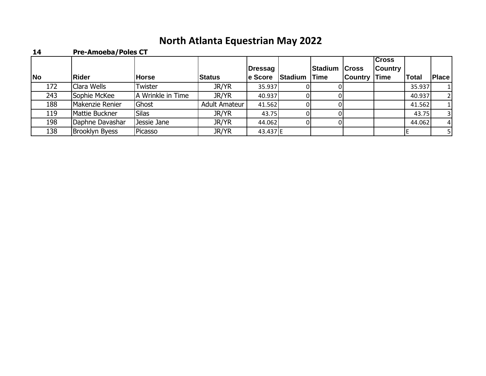## **North Atlanta Equestrian May 2022**

| 14        | <b>Pre-Amoeba/Poles CT</b> |                   |               |                |         |                |                |                                |              |                |
|-----------|----------------------------|-------------------|---------------|----------------|---------|----------------|----------------|--------------------------------|--------------|----------------|
|           |                            |                   |               | <b>Dressag</b> |         | <b>Stadium</b> | <b>Cross</b>   | <b>Cross</b><br><b>Country</b> |              |                |
| <b>No</b> | Rider                      | <b>Horse</b>      | <b>Status</b> | le Score       | Stadium | <b>Time</b>    | <b>Country</b> | <b>Time</b>                    | <b>Total</b> | Place          |
| 172       | Clara Wells                | Twister           | JR/YR         | 35.937         |         |                |                |                                | 35.937       |                |
| 243       | Sophie McKee               | A Wrinkle in Time | JR/YR         | 40.937         |         |                |                |                                | 40.937       | $\overline{2}$ |
| 188       | Makenzie Renier            | Ghost             | Adult Amateur | 41.562         |         |                |                |                                | 41.562       |                |
| 119       | Mattie Buckner             | <b>Silas</b>      | JR/YR         | 43.75          |         |                |                |                                | 43.75        | 3 <sup>l</sup> |
| 198       | Daphne Davashar            | Jessie Jane       | JR/YR         | 44.062         |         |                |                |                                | 44.062       | $\overline{4}$ |
| 138       | <b>Brooklyn Byess</b>      | Picasso           | JR/YR         | 43.437 E       |         |                |                |                                |              | 5 I            |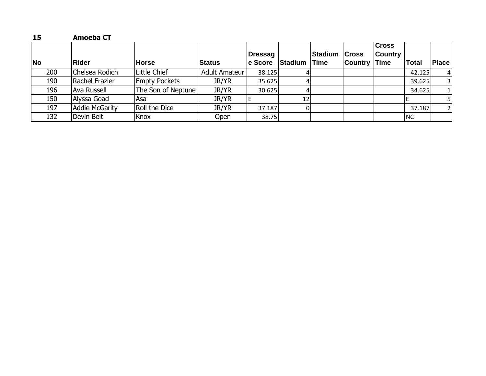| 15        | <b>Amoeba CT</b> |                      |                      |                            |                 |                                     |                |                                               |           |                |
|-----------|------------------|----------------------|----------------------|----------------------------|-----------------|-------------------------------------|----------------|-----------------------------------------------|-----------|----------------|
| <b>No</b> | Rider            | <b>Horse</b>         | <b>Status</b>        | <b>Dressag</b><br>le Score | Stadium         | <b>Stadium Cross</b><br><b>Time</b> | <b>Country</b> | <b>Cross</b><br><b>Country</b><br><b>Time</b> | Total     | <b>Place</b>   |
| 200       | Chelsea Rodich   | Little Chief         | <b>Adult Amateur</b> | 38.125                     |                 |                                     |                |                                               | 42.125    | 4 <sup>1</sup> |
| 190       | Rachel Frazier   | <b>Empty Pockets</b> | JR/YR                | 35.625                     |                 |                                     |                |                                               | 39.625    | 3 I            |
| 196       | Ava Russell      | The Son of Neptune   | JR/YR                | 30.625                     |                 |                                     |                |                                               | 34.625    | 1 <sup>1</sup> |
| 150       | Alyssa Goad      | Asa                  | JR/YR                |                            | 12 <sub>1</sub> |                                     |                |                                               |           |                |
| 197       | Addie McGarity   | Roll the Dice        | JR/YR                | 37.187                     |                 |                                     |                |                                               | 37.187    | 21             |
| 132       | Devin Belt       | Knox                 | Open                 | 38.75                      |                 |                                     |                |                                               | <b>NC</b> |                |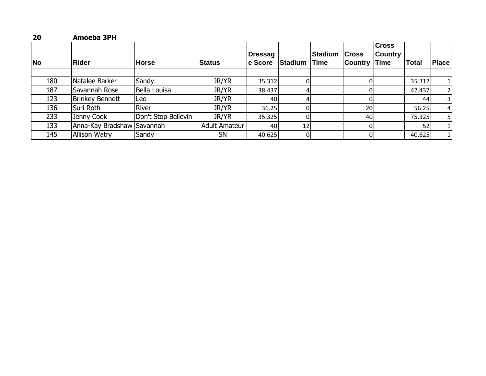| 20        | Amoeba 3PH                 |                     |                      |                            |                 |                        |                         |                                               |        |                |
|-----------|----------------------------|---------------------|----------------------|----------------------------|-----------------|------------------------|-------------------------|-----------------------------------------------|--------|----------------|
| <b>No</b> | Rider                      | <b>Horse</b>        | Status               | <b>Dressag</b><br>le Score | <b>Stadium</b>  | Stadium<br><b>Time</b> | <b>Cross</b><br>Country | <b>Cross</b><br><b>Country</b><br><b>Time</b> | Total  | <b>Place</b>   |
|           |                            |                     |                      |                            |                 |                        |                         |                                               |        |                |
| 180       | Natalee Barker             | Sandy               | JR/YR                | 35.312                     | ΩI              |                        |                         |                                               | 35.312 | 11             |
| 187       | Savannah Rose              | Bella Louisa        | JR/YR                | 38.437                     | 4               |                        |                         |                                               | 42.437 | $\overline{2}$ |
| 123       | <b>Brinkey Bennett</b>     | Leo                 | JR/YR                | 40                         |                 |                        |                         |                                               | 44     | 3 <sup>1</sup> |
| 136       | Suri Roth                  | River               | JR/YR                | 36.25                      |                 |                        | 20                      |                                               | 56.25  | 4 <sup>1</sup> |
| 233       | Jenny Cook                 | Don't Stop Believin | JR/YR                | 35.325                     |                 |                        | 40                      |                                               | 75.325 | 51             |
| 133       | Anna-Kay Bradshaw Savannah |                     | <b>Adult Amateur</b> | 40                         | 12 <sub>1</sub> |                        |                         |                                               | 52     |                |
| 145       | <b>Allison Watry</b>       | Sandy               | <b>SN</b>            | 40.625                     | 01              |                        |                         |                                               | 40.625 | 1 <sup>1</sup> |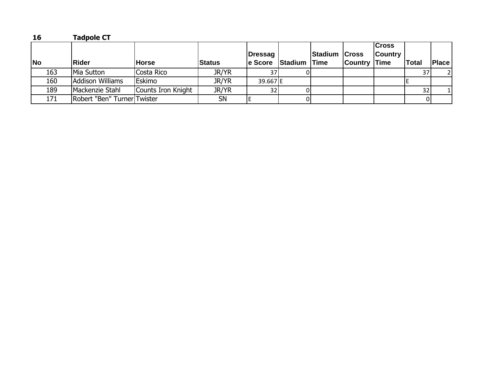| 16        | <b>Tadpole CT</b>           |                    |               |                |                      |                      |                     |                                |              |              |
|-----------|-----------------------------|--------------------|---------------|----------------|----------------------|----------------------|---------------------|--------------------------------|--------------|--------------|
|           |                             |                    |               | <b>Dressag</b> |                      | <b>Stadium Cross</b> |                     | <b>Cross</b><br><b>Country</b> |              |              |
| <b>No</b> | Rider                       | <b>Horse</b>       | <b>Status</b> |                | e Score Stadium Time |                      | <b>Country Time</b> |                                | <b>Total</b> | <b>Place</b> |
| 163       | Mia Sutton                  | Costa Rico         | JR/YR         |                |                      |                      |                     |                                | 37           |              |
| 160       | Addison Williams            | Eskimo             | <b>JR/YR</b>  | 39.667E        |                      |                      |                     |                                |              |              |
| 189       | Mackenzie Stahl             | Counts Iron Knight | <b>JR/YR</b>  | 32             |                      |                      |                     |                                | 32           |              |
| 171       | Robert "Ben" Turner Twister |                    | <b>SN</b>     |                |                      |                      |                     |                                |              |              |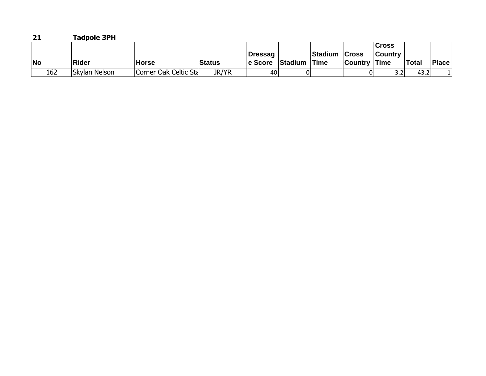| 21        | <b>Tadpole 3PH</b> |                       |               |                |                     |               |                     |                |              |              |
|-----------|--------------------|-----------------------|---------------|----------------|---------------------|---------------|---------------------|----------------|--------------|--------------|
|           |                    |                       |               |                |                     |               |                     | <b>Cross</b>   |              |              |
|           |                    |                       |               | <b>Dressag</b> |                     | Stadium Cross |                     | <b>Country</b> |              |              |
| <b>No</b> | Rider              | <b>Horse</b>          | <b>Status</b> | le Score       | <b>Stadium Time</b> |               | <b>Country Time</b> |                | <b>Total</b> | <b>Place</b> |
| 162       | Skylan Nelson      | Corner Oak Celtic Sta | JR/YR         | 401            |                     |               |                     |                | 43.2         |              |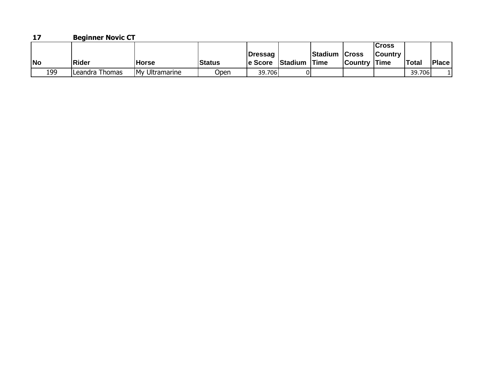| 17        | <b>Beginner Novic CT</b> |                |               |          |                     |                      |                     |                |        |              |
|-----------|--------------------------|----------------|---------------|----------|---------------------|----------------------|---------------------|----------------|--------|--------------|
|           |                          |                |               |          |                     |                      |                     | <b>Cross</b>   |        |              |
|           |                          |                |               | lDressaɑ |                     | <b>Stadium Cross</b> |                     | <b>Country</b> |        |              |
| <b>No</b> | <b>Rider</b>             | <b>Horse</b>   | <b>Status</b> | le Score | <b>Stadium Time</b> |                      | <b>Country Time</b> |                | Total  | <b>Place</b> |
| 199       | Leandra Thomas           | My Ultramarine | Open          | 39.706   |                     |                      |                     |                | 39.706 |              |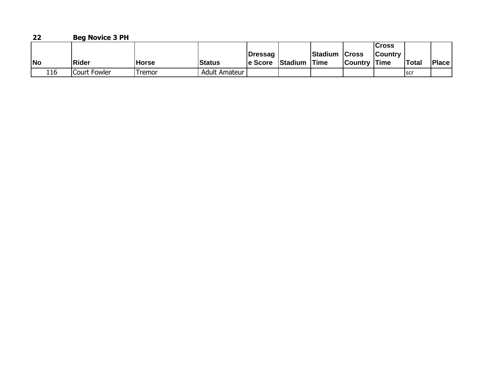## **22 Beg Novice 3 PH**

|           |              |              |                      |          |         |               |                     | Cross          |              |              |
|-----------|--------------|--------------|----------------------|----------|---------|---------------|---------------------|----------------|--------------|--------------|
|           |              |              |                      | Dressag  |         | Stadium Cross |                     | <b>Country</b> |              |              |
| <b>No</b> | <b>Rider</b> | <b>Horse</b> | <b>Status</b>        | le Score | Stadium | <b>Time</b>   | <b>Country Time</b> |                | <b>Total</b> | <b>Place</b> |
| 116       | Court Fowler | Tremor       | <b>Adult Amateur</b> |          |         |               |                     |                | <b>SCr</b>   |              |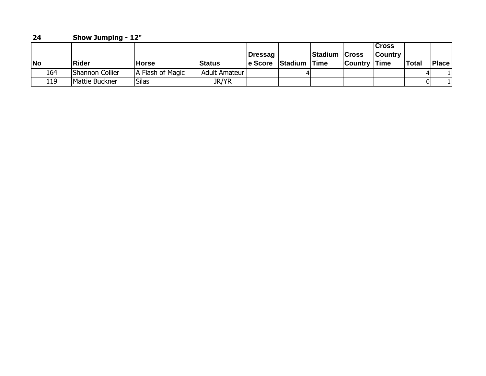| 24        |     | <b>Show Jumping - 12"</b> |                  |               |                     |                |                              |                     |                                |              |        |
|-----------|-----|---------------------------|------------------|---------------|---------------------|----------------|------------------------------|---------------------|--------------------------------|--------------|--------|
| <b>No</b> |     | <b>Rider</b>              | lHorse           | <b>Status</b> | Dressag<br>le Score | <b>Stadium</b> | Stadium Cross<br><b>Time</b> | <b>Country Time</b> | <b>Cross</b><br><b>Country</b> | <b>Total</b> | 'Place |
|           | 164 | Shannon Collier           | A Flash of Magic | Adult Amateur |                     |                |                              |                     |                                |              |        |
|           | 119 | Mattie Buckner            | Silas            | <b>JR/YR</b>  |                     |                |                              |                     |                                |              |        |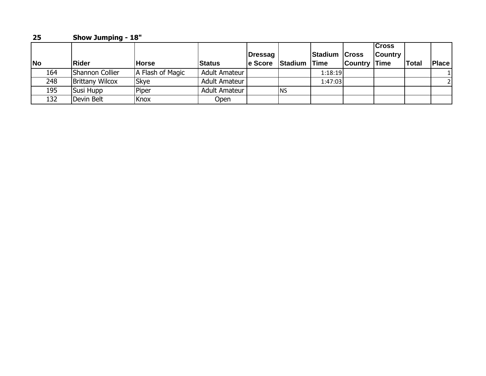| 25        | <b>Show Jumping - 18"</b> |                  |                      |                     |                     |                      |                |                                               |       |              |
|-----------|---------------------------|------------------|----------------------|---------------------|---------------------|----------------------|----------------|-----------------------------------------------|-------|--------------|
| <b>No</b> | <b>IRider</b>             | <b>Horse</b>     | <b>Status</b>        | Dressag<br>le Score | <b>Stadium Time</b> | <b>Stadium Cross</b> | <b>Country</b> | <b>Cross</b><br><b>Country</b><br><b>Time</b> | Total | <b>Place</b> |
| 164       | Shannon Collier           | A Flash of Magic | <b>Adult Amateur</b> |                     |                     | 1:18:19              |                |                                               |       |              |
| 248       | <b>Brittany Wilcox</b>    | Skye             | Adult Amateur        |                     |                     | 1:47:03              |                |                                               |       | 21           |
| 195       | Susi Hupp                 | Piper            | Adult Amateur        |                     | <b>I</b> NS         |                      |                |                                               |       |              |
| 132       | Devin Belt                | Knox             | Open                 |                     |                     |                      |                |                                               |       |              |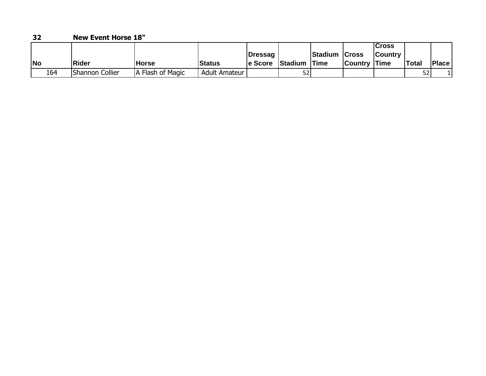| 32        | <b>New Event Horse 18"</b> |                |                      |                |                |               |                     |                 |              |              |
|-----------|----------------------------|----------------|----------------------|----------------|----------------|---------------|---------------------|-----------------|--------------|--------------|
|           |                            |                |                      |                |                |               |                     | <b>Cross</b>    |              |              |
|           |                            |                |                      | <b>Dressag</b> |                | Stadium Cross |                     | <b>ICountry</b> |              |              |
| <b>No</b> | <b>IRider</b>              | Horse          | <b>Status</b>        | le Score       | <b>Stadium</b> | lTime         | <b>Country Time</b> |                 | <b>Total</b> | <b>Place</b> |
| 164       | Shannon Collier            | Flash of Magic | <b>Adult Amateur</b> |                | 52             |               |                     |                 | 52           |              |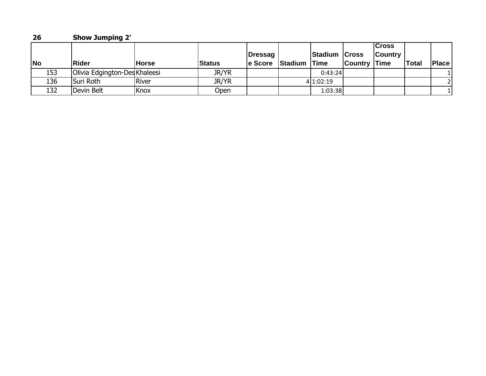| 26        | <b>Show Jumping 2'</b>        |              |               |                     |         |                              |                |                                        |              |              |
|-----------|-------------------------------|--------------|---------------|---------------------|---------|------------------------------|----------------|----------------------------------------|--------------|--------------|
| <b>No</b> | Rider                         | <b>Horse</b> | <b>Status</b> | Dressag<br>le Score | Stadium | Stadium Cross<br><b>Time</b> | <b>Country</b> | Cross<br><b>Country</b><br><b>Time</b> | <b>Total</b> | <b>Place</b> |
| 153       | Olivia Edgington-Des Khaleesi |              | <b>JR/YR</b>  |                     |         | 0:43:24                      |                |                                        |              |              |
| 136       | Suri Roth                     | River        | <b>JR/YR</b>  |                     |         | 4 1:02:19                    |                |                                        |              |              |
| 132       | Devin Belt                    | Knox         | Open          |                     |         | 1:03:38                      |                |                                        |              |              |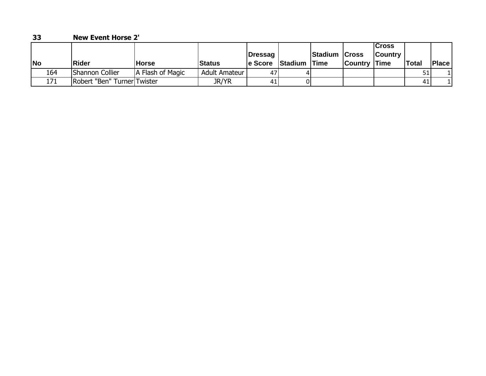| 33        |     | <b>New Event Horse 2'</b>   |                  |               |                            |              |               |                     |                          |       |       |
|-----------|-----|-----------------------------|------------------|---------------|----------------------------|--------------|---------------|---------------------|--------------------------|-------|-------|
| <b>No</b> |     | <b>Rider</b>                | lHorse           | <b>Status</b> | <b>Dressag</b><br>le Score | Stadium Time | Stadium Cross | <b>Country Time</b> | lCross<br><b>Country</b> | Total | Place |
|           | 164 | <b>Shannon Collier</b>      | A Flash of Magic | Adult Amateur | 47                         |              |               |                     |                          |       |       |
|           | 171 | Robert "Ben" Turner Twister |                  | <b>JR/YR</b>  | 41                         |              |               |                     |                          | 41    |       |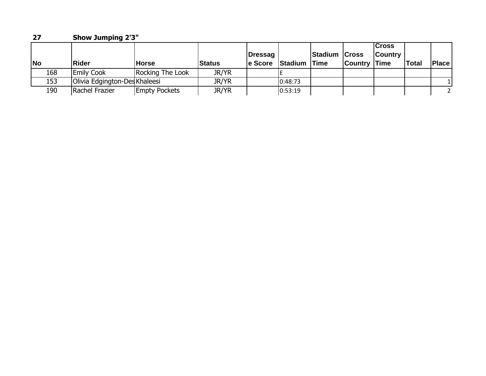| 27        | <b>Show Jumping 2'3"</b>      |                      |               |                     |                     |                      |                |                                        |              |       |  |
|-----------|-------------------------------|----------------------|---------------|---------------------|---------------------|----------------------|----------------|----------------------------------------|--------------|-------|--|
| <b>No</b> | <b>Rider</b>                  | <b>Horse</b>         | <b>Status</b> | Dressag<br>le Score | <b>Stadium Time</b> | <b>Stadium Cross</b> | <b>Country</b> | Cross<br><b>Country</b><br><b>Time</b> | <b>Total</b> | Place |  |
| 168       | <b>Emily Cook</b>             | Rocking The Look     | JR/YR         |                     |                     |                      |                |                                        |              |       |  |
| 153       | Olivia Edgington-Des Khaleesi |                      | <b>JR/YR</b>  |                     | 0:48:73             |                      |                |                                        |              |       |  |
| 190       | Rachel Frazier                | <b>Empty Pockets</b> | JR/YR         |                     | 0:53:19             |                      |                |                                        |              |       |  |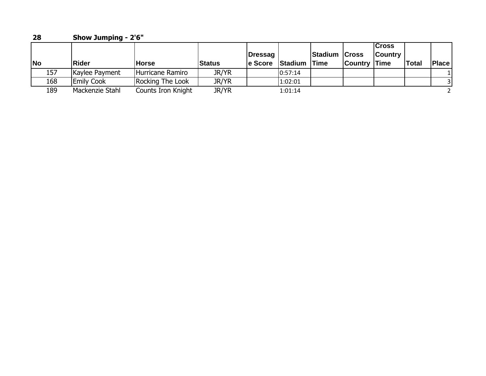| 28        | <b>Show Jumping - 2'6"</b> |                    |               |                     |                     |                      |                     |                                |              |              |  |
|-----------|----------------------------|--------------------|---------------|---------------------|---------------------|----------------------|---------------------|--------------------------------|--------------|--------------|--|
| <b>No</b> | <b>IRider</b>              | <b>Horse</b>       | <b>Status</b> | Dressag<br>le Score | <b>Stadium Time</b> | <b>Stadium Cross</b> | <b>Country Time</b> | <b>Cross</b><br><b>Country</b> | <b>Total</b> | <b>Place</b> |  |
| 157       | Kaylee Payment             | Hurricane Ramiro   | JR/YR         |                     | 0:57:14             |                      |                     |                                |              |              |  |
| 168       | <b>Emily Cook</b>          | Rocking The Look   | JR/YR         |                     | 1:02:01             |                      |                     |                                |              | 3I           |  |
| 189       | Mackenzie Stahl            | Counts Iron Knight | <b>JR/YR</b>  |                     | 1:01:14             |                      |                     |                                |              |              |  |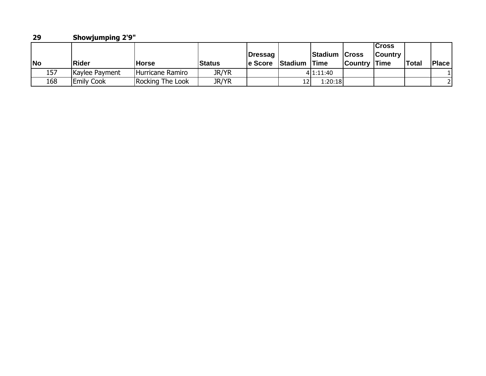| 29        | <b>Showjumping 2'9"</b> |                  |               |                     |         |                              |                     |                         |              |              |  |
|-----------|-------------------------|------------------|---------------|---------------------|---------|------------------------------|---------------------|-------------------------|--------------|--------------|--|
| <b>No</b> | Rider                   | <b>Horse</b>     | <b>Status</b> | Dressag<br>le Score | Stadium | Stadium Cross<br><b>Time</b> | <b>Country Time</b> | Cross<br><b>Country</b> | <b>Total</b> | <b>Place</b> |  |
| 157       | Kaylee Payment          | Hurricane Ramiro | <b>JR/YR</b>  |                     |         | 4 1:11:40                    |                     |                         |              |              |  |
| 168       | <b>Emily Cook</b>       | Rocking The Look | JR/YR         |                     | 12      | 1:20:18                      |                     |                         |              |              |  |